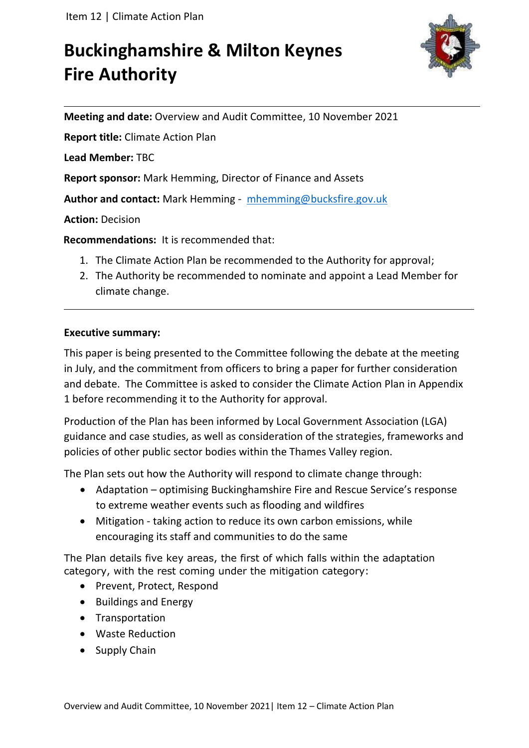# **Buckinghamshire & Milton Keynes Fire Authority**



**Meeting and date:** Overview and Audit Committee, 10 November 2021

**Report title:** Climate Action Plan

**Lead Member:** TBC

**Report sponsor:** Mark Hemming, Director of Finance and Assets

**Author and contact:** Mark Hemming - [mhemming@bucksfire.gov.uk](mailto:mhemming@bucksfire.gov.uk)

**Action:** Decision

**Recommendations:** It is recommended that:

- 1. The Climate Action Plan be recommended to the Authority for approval;
- 2. The Authority be recommended to nominate and appoint a Lead Member for climate change.

### **Executive summary:**

This paper is being presented to the Committee following the debate at the meeting in July, and the commitment from officers to bring a paper for further consideration and debate. The Committee is asked to consider the Climate Action Plan in Appendix 1 before recommending it to the Authority for approval.

Production of the Plan has been informed by Local Government Association (LGA) guidance and case studies, as well as consideration of the strategies, frameworks and policies of other public sector bodies within the Thames Valley region.

The Plan sets out how the Authority will respond to climate change through:

- Adaptation optimising Buckinghamshire Fire and Rescue Service's response to extreme weather events such as flooding and wildfires
- Mitigation taking action to reduce its own carbon emissions, while encouraging its staff and communities to do the same

The Plan details five key areas, the first of which falls within the adaptation category, with the rest coming under the mitigation category:

- Prevent, Protect, Respond
- Buildings and Energy
- Transportation
- Waste Reduction
- Supply Chain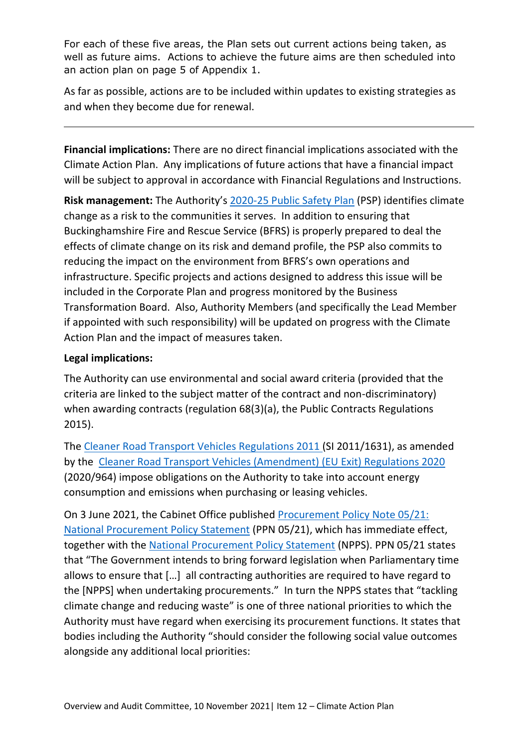For each of these five areas, the Plan sets out current actions being taken, as well as future aims. Actions to achieve the future aims are then scheduled into an action plan on page 5 of Appendix 1.

As far as possible, actions are to be included within updates to existing strategies as and when they become due for renewal.

**Financial implications:** There are no direct financial implications associated with the Climate Action Plan. Any implications of future actions that have a financial impact will be subject to approval in accordance with Financial Regulations and Instructions.

**Risk management:** The Authority's [2020-25 Public Safety Plan](https://bucksfire.gov.uk/documents/2020/03/public_safety_plan_2020_to_2025.pdf/) (PSP) identifies climate change as a risk to the communities it serves. In addition to ensuring that Buckinghamshire Fire and Rescue Service (BFRS) is properly prepared to deal the effects of climate change on its risk and demand profile, the PSP also commits to reducing the impact on the environment from BFRS's own operations and infrastructure. Specific projects and actions designed to address this issue will be included in the Corporate Plan and progress monitored by the Business Transformation Board. Also, Authority Members (and specifically the Lead Member if appointed with such responsibility) will be updated on progress with the Climate Action Plan and the impact of measures taken.

## **Legal implications:**

The Authority can use environmental and social award criteria (provided that the criteria are linked to the subject matter of the contract and non-discriminatory) when awarding contracts (regulation 68(3)(a), the Public Contracts Regulations 2015).

The [Cleaner Road Transport Vehicles Regulations 2011 \(](https://www.legislation.gov.uk/uksi/2011/1631/contents)SI 2011/1631), as amended by the [Cleaner Road Transport Vehicles \(Amendment\) \(EU Exit\) Regulations 2020](https://www.legislation.gov.uk/uksi/2020/964/made?view=plain)  (2020/964) impose obligations on the Authority to take into account energy consumption and emissions when purchasing or leasing vehicles.

On 3 June 2021, the Cabinet Office published [Procurement Policy Note 05/21:](https://www.gov.uk/government/publications/procurement-policy-note-0521-national-procurement-policy-statement)  [National Procurement Policy Statement](https://www.gov.uk/government/publications/procurement-policy-note-0521-national-procurement-policy-statement) (PPN 05/21), which has immediate effect, together with the [National Procurement Policy Statement](https://assets.publishing.service.gov.uk/government/uploads/system/uploads/attachment_data/file/990289/National_Procurement_Policy_Statement.pdf) (NPPS). PPN 05/21 states that "The Government intends to bring forward legislation when Parliamentary time allows to ensure that […] all contracting authorities are required to have regard to the [NPPS] when undertaking procurements." In turn the NPPS states that "tackling climate change and reducing waste" is one of three national priorities to which the Authority must have regard when exercising its procurement functions. It states that bodies including the Authority "should consider the following social value outcomes alongside any additional local priorities: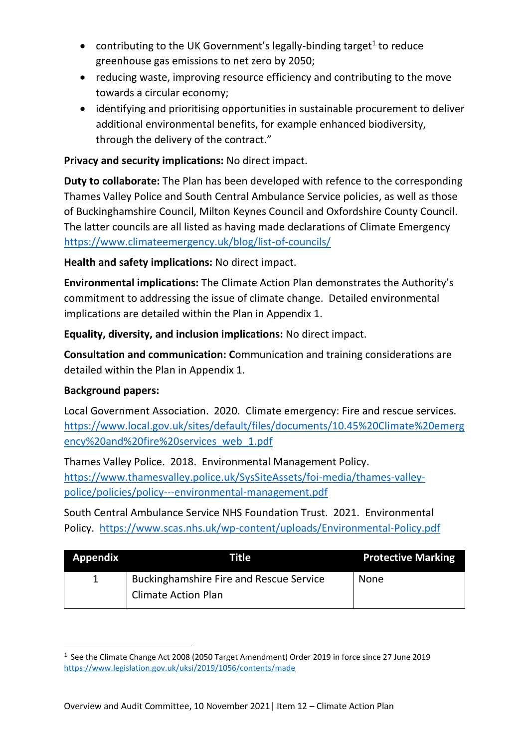- contributing to the UK Government's legally-binding target<sup>1</sup> to reduce greenhouse gas emissions to net zero by 2050;
- reducing waste, improving resource efficiency and contributing to the move towards a circular economy;
- identifying and prioritising opportunities in sustainable procurement to deliver additional environmental benefits, for example enhanced biodiversity, through the delivery of the contract."

## **Privacy and security implications:** No direct impact.

**Duty to collaborate:** The Plan has been developed with refence to the corresponding Thames Valley Police and South Central Ambulance Service policies, as well as those of Buckinghamshire Council, Milton Keynes Council and Oxfordshire County Council. The latter councils are all listed as having made declarations of Climate Emergency <https://www.climateemergency.uk/blog/list-of-councils/>

**Health and safety implications:** No direct impact.

**Environmental implications:** The Climate Action Plan demonstrates the Authority's commitment to addressing the issue of climate change. Detailed environmental implications are detailed within the Plan in Appendix 1.

**Equality, diversity, and inclusion implications:** No direct impact.

**Consultation and communication: C**ommunication and training considerations are detailed within the Plan in Appendix 1.

## **Background papers:**

Local Government Association. 2020. Climate emergency: Fire and rescue services. [https://www.local.gov.uk/sites/default/files/documents/10.45%20Climate%20emerg](https://www.local.gov.uk/sites/default/files/documents/10.45%20Climate%20emergency%20and%20fire%20services_web_1.pdf) [ency%20and%20fire%20services\\_web\\_1.pdf](https://www.local.gov.uk/sites/default/files/documents/10.45%20Climate%20emergency%20and%20fire%20services_web_1.pdf)

Thames Valley Police. 2018. Environmental Management Policy. [https://www.thamesvalley.police.uk/SysSiteAssets/foi-media/thames-valley](https://www.thamesvalley.police.uk/SysSiteAssets/foi-media/thames-valley-police/policies/policy---environmental-management.pdf)[police/policies/policy---environmental-management.pdf](https://www.thamesvalley.police.uk/SysSiteAssets/foi-media/thames-valley-police/policies/policy---environmental-management.pdf)

South Central Ambulance Service NHS Foundation Trust. 2021. Environmental Policy. <https://www.scas.nhs.uk/wp-content/uploads/Environmental-Policy.pdf>

| <b>Appendix</b> | Title                                          | <b>Protective Marking</b> |
|-----------------|------------------------------------------------|---------------------------|
|                 | <b>Buckinghamshire Fire and Rescue Service</b> | None                      |
|                 | <b>Climate Action Plan</b>                     |                           |

<sup>&</sup>lt;sup>1</sup> See the Climate Change Act 2008 (2050 Target Amendment) Order 2019 in force since 27 June 2019 <https://www.legislation.gov.uk/uksi/2019/1056/contents/made>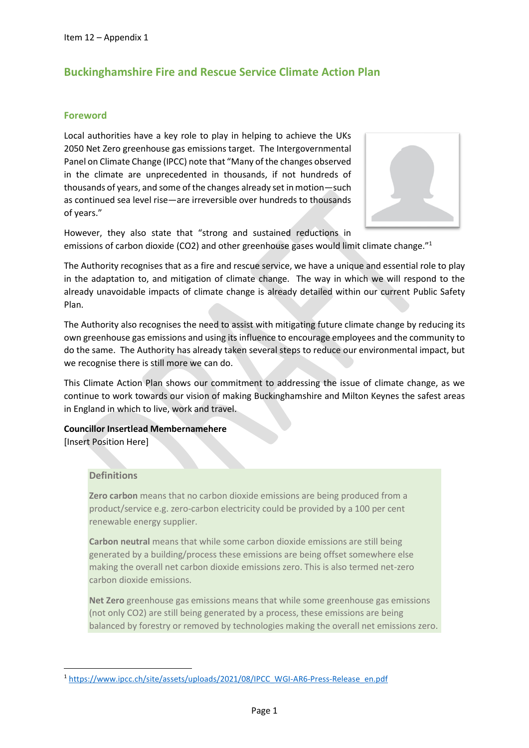## **Buckinghamshire Fire and Rescue Service Climate Action Plan**

#### **Foreword**

Local authorities have a key role to play in helping to achieve the UKs 2050 Net Zero greenhouse gas emissions target. The Intergovernmental Panel on Climate Change (IPCC) note that "Many of the changes observed in the climate are unprecedented in thousands, if not hundreds of thousands of years, and some of the changes already set in motion—such as continued sea level rise—are irreversible over hundreds to thousands of years."



However, they also state that "strong and sustained reductions in emissions of carbon dioxide (CO2) and other greenhouse gases would limit climate change."<sup>1</sup>

The Authority recognises that as a fire and rescue service, we have a unique and essential role to play in the adaptation to, and mitigation of climate change. The way in which we will respond to the already unavoidable impacts of climate change is already detailed within our current Public Safety Plan.

The Authority also recognises the need to assist with mitigating future climate change by reducing its own greenhouse gas emissions and using its influence to encourage employees and the community to do the same. The Authority has already taken several steps to reduce our environmental impact, but we recognise there is still more we can do.

This Climate Action Plan shows our commitment to addressing the issue of climate change, as we continue to work towards our vision of making Buckinghamshire and Milton Keynes the safest areas in England in which to live, work and travel.

**Councillor Insertlead Membernamehere** [Insert Position Here]

#### **Definitions**

**Zero carbon** means that no carbon dioxide emissions are being produced from a product/service e.g. zero-carbon electricity could be provided by a 100 per cent renewable energy supplier.

**Carbon neutral** means that while some carbon dioxide emissions are still being generated by a building/process these emissions are being offset somewhere else making the overall net carbon dioxide emissions zero. This is also termed net-zero carbon dioxide emissions.

**Net Zero** greenhouse gas emissions means that while some greenhouse gas emissions (not only CO2) are still being generated by a process, these emissions are being balanced by forestry or removed by technologies making the overall net emissions zero.

<sup>&</sup>lt;sup>1</sup> [https://www.ipcc.ch/site/assets/uploads/2021/08/IPCC\\_WGI-AR6-Press-Release\\_en.pdf](https://www.ipcc.ch/site/assets/uploads/2021/08/IPCC_WGI-AR6-Press-Release_en.pdf)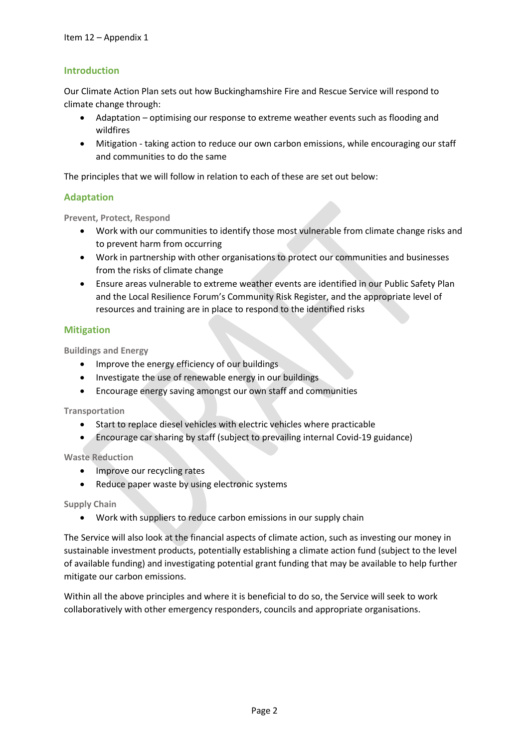#### **Introduction**

Our Climate Action Plan sets out how Buckinghamshire Fire and Rescue Service will respond to climate change through:

- Adaptation optimising our response to extreme weather events such as flooding and wildfires
- Mitigation taking action to reduce our own carbon emissions, while encouraging our staff and communities to do the same

The principles that we will follow in relation to each of these are set out below:

#### **Adaptation**

**Prevent, Protect, Respond**

- Work with our communities to identify those most vulnerable from climate change risks and to prevent harm from occurring
- Work in partnership with other organisations to protect our communities and businesses from the risks of climate change
- Ensure areas vulnerable to extreme weather events are identified in our Public Safety Plan and the Local Resilience Forum's Community Risk Register, and the appropriate level of resources and training are in place to respond to the identified risks

#### **Mitigation**

**Buildings and Energy**

- Improve the energy efficiency of our buildings
- Investigate the use of renewable energy in our buildings
- Encourage energy saving amongst our own staff and communities

**Transportation**

- Start to replace diesel vehicles with electric vehicles where practicable
- Encourage car sharing by staff (subject to prevailing internal Covid-19 guidance)

**Waste Reduction**

- Improve our recycling rates
- Reduce paper waste by using electronic systems

#### **Supply Chain**

• Work with suppliers to reduce carbon emissions in our supply chain

The Service will also look at the financial aspects of climate action, such as investing our money in sustainable investment products, potentially establishing a climate action fund (subject to the level of available funding) and investigating potential grant funding that may be available to help further mitigate our carbon emissions.

Within all the above principles and where it is beneficial to do so, the Service will seek to work collaboratively with other emergency responders, councils and appropriate organisations.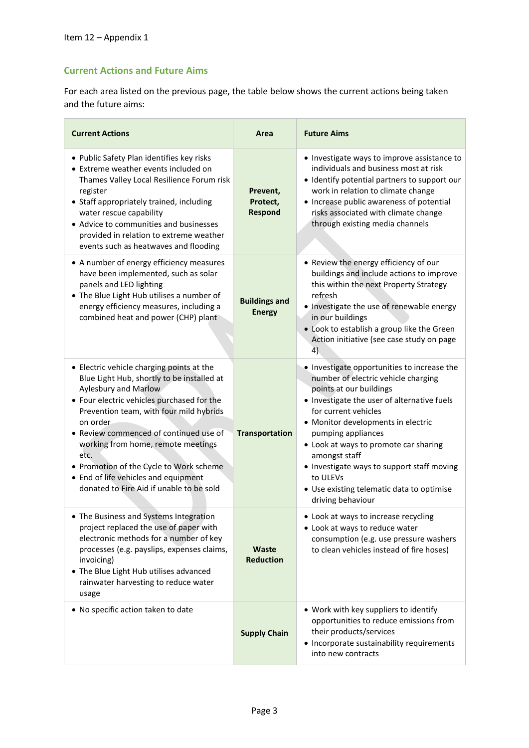#### **Current Actions and Future Aims**

For each area listed on the previous page, the table below shows the current actions being taken and the future aims:

| <b>Current Actions</b>                                                                                                                                                                                                                                                                                                                                                                                                                     | Area                                   | <b>Future Aims</b>                                                                                                                                                                                                                                                                                                                                                                                                                     |
|--------------------------------------------------------------------------------------------------------------------------------------------------------------------------------------------------------------------------------------------------------------------------------------------------------------------------------------------------------------------------------------------------------------------------------------------|----------------------------------------|----------------------------------------------------------------------------------------------------------------------------------------------------------------------------------------------------------------------------------------------------------------------------------------------------------------------------------------------------------------------------------------------------------------------------------------|
| • Public Safety Plan identifies key risks<br>• Extreme weather events included on<br>Thames Valley Local Resilience Forum risk<br>register<br>• Staff appropriately trained, including<br>water rescue capability<br>• Advice to communities and businesses<br>provided in relation to extreme weather<br>events such as heatwaves and flooding                                                                                            | Prevent,<br>Protect,<br><b>Respond</b> | • Investigate ways to improve assistance to<br>individuals and business most at risk<br>• Identify potential partners to support our<br>work in relation to climate change<br>• Increase public awareness of potential<br>risks associated with climate change<br>through existing media channels                                                                                                                                      |
| • A number of energy efficiency measures<br>have been implemented, such as solar<br>panels and LED lighting<br>• The Blue Light Hub utilises a number of<br>energy efficiency measures, including a<br>combined heat and power (CHP) plant                                                                                                                                                                                                 | <b>Buildings and</b><br><b>Energy</b>  | • Review the energy efficiency of our<br>buildings and include actions to improve<br>this within the next Property Strategy<br>refresh<br>• Investigate the use of renewable energy<br>in our buildings<br>• Look to establish a group like the Green<br>Action initiative (see case study on page<br>4)                                                                                                                               |
| • Electric vehicle charging points at the<br>Blue Light Hub, shortly to be installed at<br>Aylesbury and Marlow<br>• Four electric vehicles purchased for the<br>Prevention team, with four mild hybrids<br>on order.<br>Review commenced of continued use of<br>working from home, remote meetings<br>etc.<br>• Promotion of the Cycle to Work scheme<br>• End of life vehicles and equipment<br>donated to Fire Aid if unable to be sold | <b>Transportation</b>                  | . Investigate opportunities to increase the<br>number of electric vehicle charging<br>points at our buildings<br>• Investigate the user of alternative fuels<br>for current vehicles<br>• Monitor developments in electric<br>pumping appliances<br>• Look at ways to promote car sharing<br>amongst staff<br>• Investigate ways to support staff moving<br>to ULEVs<br>• Use existing telematic data to optimise<br>driving behaviour |
| The Business and Systems Integration<br>project replaced the use of paper with<br>electronic methods for a number of key<br>processes (e.g. payslips, expenses claims,<br>invoicing)<br>• The Blue Light Hub utilises advanced<br>rainwater harvesting to reduce water<br>usage                                                                                                                                                            | Waste<br><b>Reduction</b>              | • Look at ways to increase recycling<br>• Look at ways to reduce water<br>consumption (e.g. use pressure washers<br>to clean vehicles instead of fire hoses)                                                                                                                                                                                                                                                                           |
| . No specific action taken to date                                                                                                                                                                                                                                                                                                                                                                                                         | <b>Supply Chain</b>                    | • Work with key suppliers to identify<br>opportunities to reduce emissions from<br>their products/services<br>• Incorporate sustainability requirements<br>into new contracts                                                                                                                                                                                                                                                          |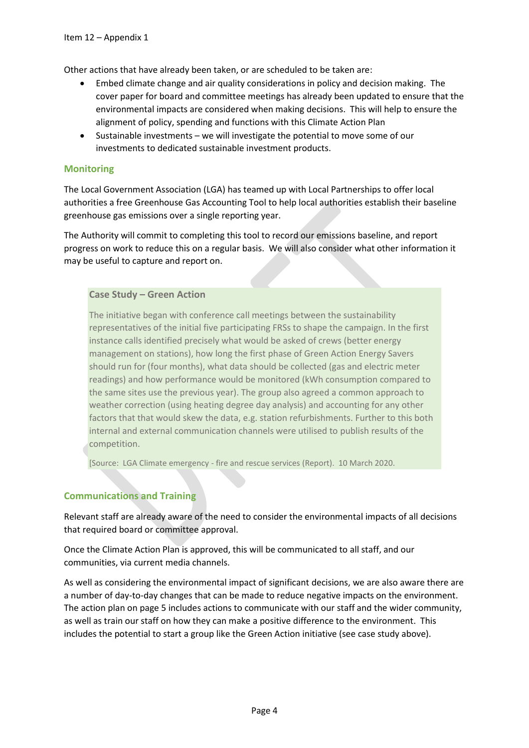Other actions that have already been taken, or are scheduled to be taken are:

- Embed climate change and air quality considerations in policy and decision making. The cover paper for board and committee meetings has already been updated to ensure that the environmental impacts are considered when making decisions. This will help to ensure the alignment of policy, spending and functions with this Climate Action Plan
- Sustainable investments we will investigate the potential to move some of our investments to dedicated sustainable investment products.

#### **Monitoring**

The Local Government Association (LGA) has teamed up with Local Partnerships to offer local authorities a free Greenhouse Gas Accounting Tool to help local authorities establish their baseline greenhouse gas emissions over a single reporting year.

The Authority will commit to completing this tool to record our emissions baseline, and report progress on work to reduce this on a regular basis. We will also consider what other information it may be useful to capture and report on.

#### **Case Study – Green Action**

The initiative began with conference call meetings between the sustainability representatives of the initial five participating FRSs to shape the campaign. In the first instance calls identified precisely what would be asked of crews (better energy management on stations), how long the first phase of Green Action Energy Savers should run for (four months), what data should be collected (gas and electric meter readings) and how performance would be monitored (kWh consumption compared to the same sites use the previous year). The group also agreed a common approach to weather correction (using heating degree day analysis) and accounting for any other factors that that would skew the data, e.g. station refurbishments. Further to this both internal and external communication channels were utilised to publish results of the competition.

[Source: LGA Climate emergency - fire and rescue services (Report). 10 March 2020.

#### **Communications and Training**

Relevant staff are already aware of the need to consider the environmental impacts of all decisions that required board or committee approval.

Once the Climate Action Plan is approved, this will be communicated to all staff, and our communities, via current media channels.

As well as considering the environmental impact of significant decisions, we are also aware there are a number of day-to-day changes that can be made to reduce negative impacts on the environment. The action plan on page 5 includes actions to communicate with our staff and the wider community, as well as train our staff on how they can make a positive difference to the environment. This includes the potential to start a group like the Green Action initiative (see case study above).